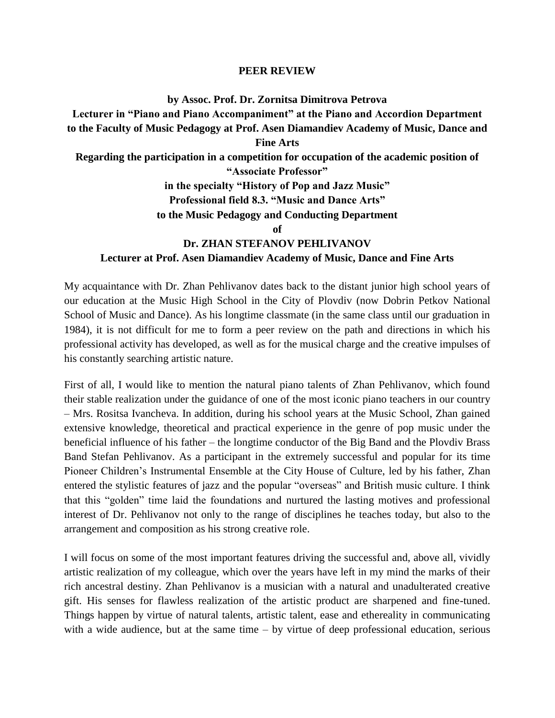## **PEER REVIEW**

**by Assoc. Prof. Dr. Zornitsa Dimitrova Petrova**

**Lecturer in "Piano and Piano Accompaniment" at the Piano and Accordion Department to the Faculty of Music Pedagogy at Prof. Asen Diamandiev Academy of Music, Dance and Fine Arts Regarding the participation in a competition for occupation of the academic position of "Associate Professor" in the specialty "History of Pop and Jazz Music"**

**Professional field 8.3. "Music and Dance Arts"**

**to the Music Pedagogy and Conducting Department** 

**of**

## **Dr. ZHAN STEFANOV PEHLIVANOV**

## **Lecturer at Prof. Asen Diamandiev Academy of Music, Dance and Fine Arts**

My acquaintance with Dr. Zhan Pehlivanov dates back to the distant junior high school years of our education at the Music High School in the City of Plovdiv (now Dobrin Petkov National School of Music and Dance). As his longtime classmate (in the same class until our graduation in 1984), it is not difficult for me to form a peer review on the path and directions in which his professional activity has developed, as well as for the musical charge and the creative impulses of his constantly searching artistic nature.

First of all, I would like to mention the natural piano talents of Zhan Pehlivanov, which found their stable realization under the guidance of one of the most iconic piano teachers in our country – Mrs. Rositsa Ivancheva. In addition, during his school years at the Music School, Zhan gained extensive knowledge, theoretical and practical experience in the genre of pop music under the beneficial influence of his father – the longtime conductor of the Big Band and the Plovdiv Brass Band Stefan Pehlivanov. As a participant in the extremely successful and popular for its time Pioneer Children's Instrumental Ensemble at the City House of Culture, led by his father, Zhan entered the stylistic features of jazz and the popular "overseas" and British music culture. I think that this "golden" time laid the foundations and nurtured the lasting motives and professional interest of Dr. Pehlivanov not only to the range of disciplines he teaches today, but also to the arrangement and composition as his strong creative role.

I will focus on some of the most important features driving the successful and, above all, vividly artistic realization of my colleague, which over the years have left in my mind the marks of their rich ancestral destiny. Zhan Pehlivanov is a musician with a natural and unadulterated creative gift. His senses for flawless realization of the artistic product are sharpened and fine-tuned. Things happen by virtue of natural talents, artistic talent, ease and ethereality in communicating with a wide audience, but at the same time  $-$  by virtue of deep professional education, serious